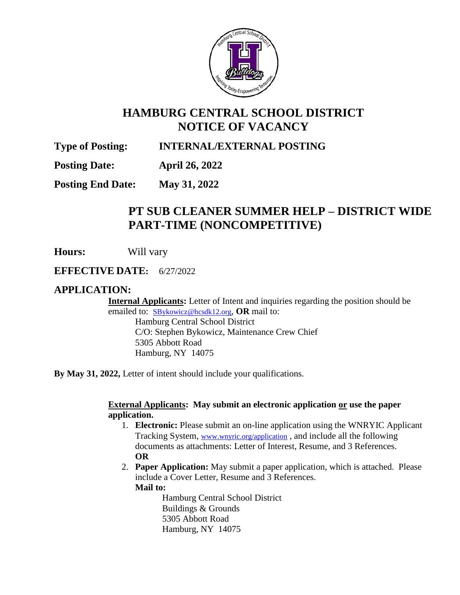

# **HAMBURG CENTRAL SCHOOL DISTRICT NOTICE OF VACANCY**

## **Type of Posting: INTERNAL/EXTERNAL POSTING**

**Posting Date: April 26, 2022**

**Posting End Date: May 31, 2022**

## **PT SUB CLEANER SUMMER HELP – DISTRICT WIDE PART-TIME (NONCOMPETITIVE)**

**Hours:** Will vary

**EFFECTIVE DATE:** 6/27/2022

### **APPLICATION:**

**Internal Applicants:** Letter of Intent and inquiries regarding the position should be emailed to: [SBykowicz@hcsdk12.org](mailto:SBykowicz@hcsdk12.org), **OR** mail to: Hamburg Central School District C/O: Stephen Bykowicz, Maintenance Crew Chief 5305 Abbott Road Hamburg, NY 14075

**By May 31, 2022,** Letter of intent should include your qualifications.

#### **External Applicants: May submit an electronic application or use the paper application.**

- 1. **Electronic:** Please submit an on-line application using the WNRYIC Applicant Tracking System, [www.wnyric.org/application](http://www.wnyric.org/application) , and include all the following documents as attachments: Letter of Interest, Resume, and 3 References. **OR**
- 2. **Paper Application:** May submit a paper application, which is attached. Please include a Cover Letter, Resume and 3 References.

**Mail to:**

Hamburg Central School District Buildings & Grounds 5305 Abbott Road Hamburg, NY 14075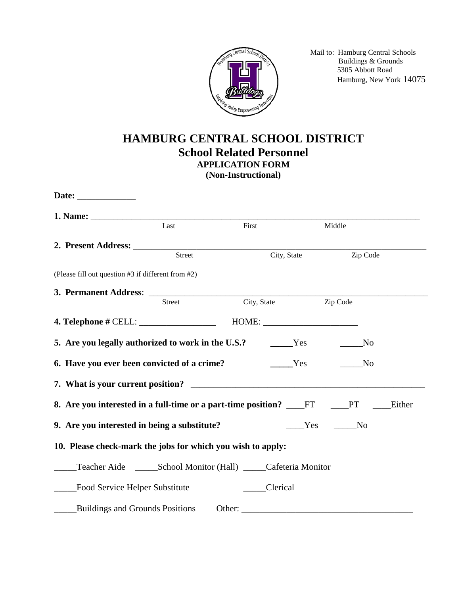

 Mail to: Hamburg Central Schools Buildings & Grounds 5305 Abbott Road Hamburg, New York 14075

## **HAMBURG CENTRAL SCHOOL DISTRICT School Related Personnel APPLICATION FORM (Non-Instructional)**

|                                                                      | Last   | First                | Middle |                        |
|----------------------------------------------------------------------|--------|----------------------|--------|------------------------|
|                                                                      |        |                      |        |                        |
|                                                                      | Street | City, State          |        | Zip Code               |
| (Please fill out question #3 if different from #2)                   |        |                      |        |                        |
| 3. Permanent Address:                                                |        |                      |        |                        |
|                                                                      | Street | City, State Zip Code |        |                        |
| <b>4. Telephone # CELL:</b>                                          |        | HOME:                |        |                        |
|                                                                      |        |                      |        | N <sub>0</sub>         |
| 6. Have you ever been convicted of a crime?                          |        | Yes                  |        | $\mathbf{N}\mathbf{o}$ |
| 7. What is your current position?                                    |        |                      |        |                        |
| 8. Are you interested in a full-time or a part-time position? ____FT |        |                      |        | <b>PT</b><br>Either    |
| 9. Are you interested in being a substitute?                         |        |                      | Yes    | N <sub>0</sub>         |
| 10. Please check-mark the jobs for which you wish to apply:          |        |                      |        |                        |
|                                                                      |        |                      |        |                        |
| Food Service Helper Substitute                                       |        | Clerical             |        |                        |
| <b>Buildings and Grounds Positions</b>                               |        | Other:               |        |                        |